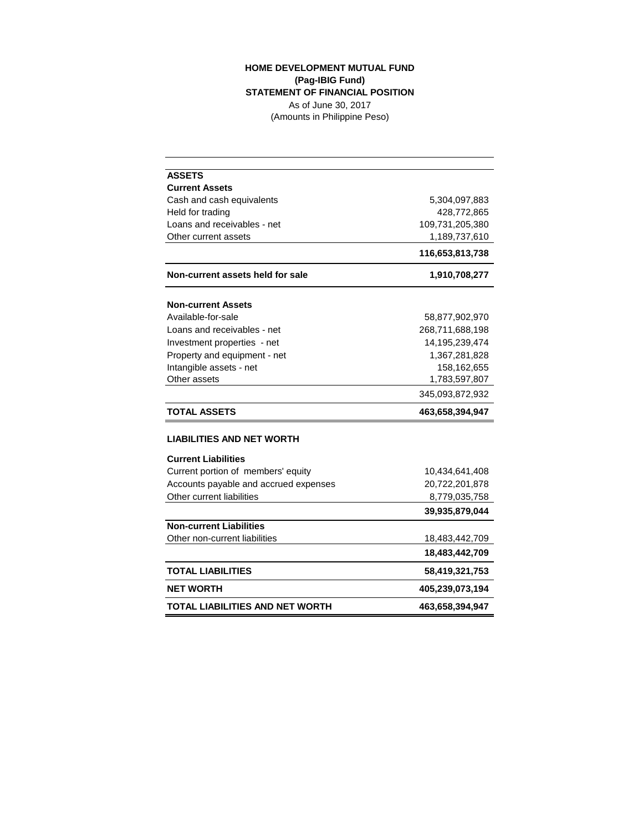## **HOME DEVELOPMENT MUTUAL FUND (Pag-IBIG Fund) STATEMENT OF FINANCIAL POSITION**

As of June 30, 2017 (Amounts in Philippine Peso)

| <b>ASSETS</b>                         |                 |
|---------------------------------------|-----------------|
| <b>Current Assets</b>                 |                 |
| Cash and cash equivalents             | 5,304,097,883   |
| Held for trading                      | 428,772,865     |
| Loans and receivables - net           | 109,731,205,380 |
| Other current assets                  | 1,189,737,610   |
|                                       | 116,653,813,738 |
| Non-current assets held for sale      | 1,910,708,277   |
| <b>Non-current Assets</b>             |                 |
| Available-for-sale                    | 58,877,902,970  |
| Loans and receivables - net           | 268,711,688,198 |
| Investment properties - net           | 14,195,239,474  |
| Property and equipment - net          | 1,367,281,828   |
| Intangible assets - net               | 158,162,655     |
| Other assets                          | 1,783,597,807   |
|                                       | 345,093,872,932 |
| <b>TOTAL ASSETS</b>                   | 463,658,394,947 |
| LIABILITIES AND NET WORTH             |                 |
| <b>Current Liabilities</b>            |                 |
| Current portion of members' equity    | 10,434,641,408  |
| Accounts payable and accrued expenses | 20,722,201,878  |
| Other current liabilities             | 8,779,035,758   |
|                                       | 39,935,879,044  |
| <b>Non-current Liabilities</b>        |                 |
| Other non-current liabilities         | 18,483,442,709  |
|                                       | 18,483,442,709  |
| <b>TOTAL LIABILITIES</b>              | 58,419,321,753  |
| <b>NET WORTH</b>                      | 405,239,073,194 |
| TOTAL LIABILITIES AND NET WORTH       | 463,658,394,947 |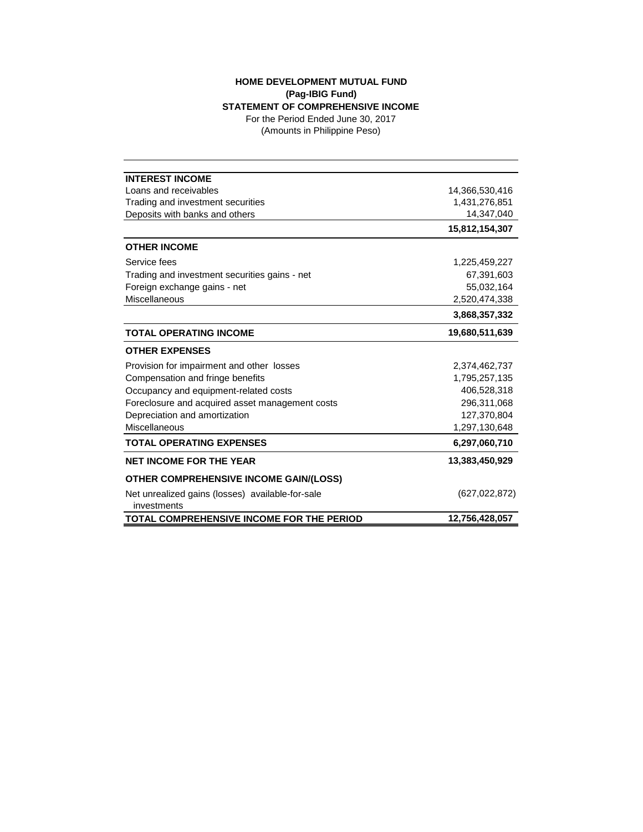## **HOME DEVELOPMENT MUTUAL FUND (Pag-IBIG Fund) STATEMENT OF COMPREHENSIVE INCOME**

(Amounts in Philippine Peso) For the Period Ended June 30, 2017

| <b>INTEREST INCOME</b>                                          |                 |
|-----------------------------------------------------------------|-----------------|
| Loans and receivables                                           | 14,366,530,416  |
| Trading and investment securities                               | 1,431,276,851   |
| Deposits with banks and others                                  | 14,347,040      |
|                                                                 | 15,812,154,307  |
| <b>OTHER INCOME</b>                                             |                 |
| Service fees                                                    | 1,225,459,227   |
| Trading and investment securities gains - net                   | 67,391,603      |
| Foreign exchange gains - net                                    | 55,032,164      |
| Miscellaneous                                                   | 2,520,474,338   |
|                                                                 | 3,868,357,332   |
| <b>TOTAL OPERATING INCOME</b>                                   | 19,680,511,639  |
| <b>OTHER EXPENSES</b>                                           |                 |
| Provision for impairment and other losses                       | 2,374,462,737   |
| Compensation and fringe benefits                                | 1,795,257,135   |
| Occupancy and equipment-related costs                           | 406,528,318     |
| Foreclosure and acquired asset management costs                 | 296,311,068     |
| Depreciation and amortization                                   | 127,370,804     |
| Miscellaneous                                                   | 1,297,130,648   |
| <b>TOTAL OPERATING EXPENSES</b>                                 | 6,297,060,710   |
| <b>NET INCOME FOR THE YEAR</b>                                  | 13,383,450,929  |
| <b>OTHER COMPREHENSIVE INCOME GAIN/(LOSS)</b>                   |                 |
| Net unrealized gains (losses) available-for-sale<br>investments | (627, 022, 872) |
| TOTAL COMPREHENSIVE INCOME FOR THE PERIOD                       | 12,756,428,057  |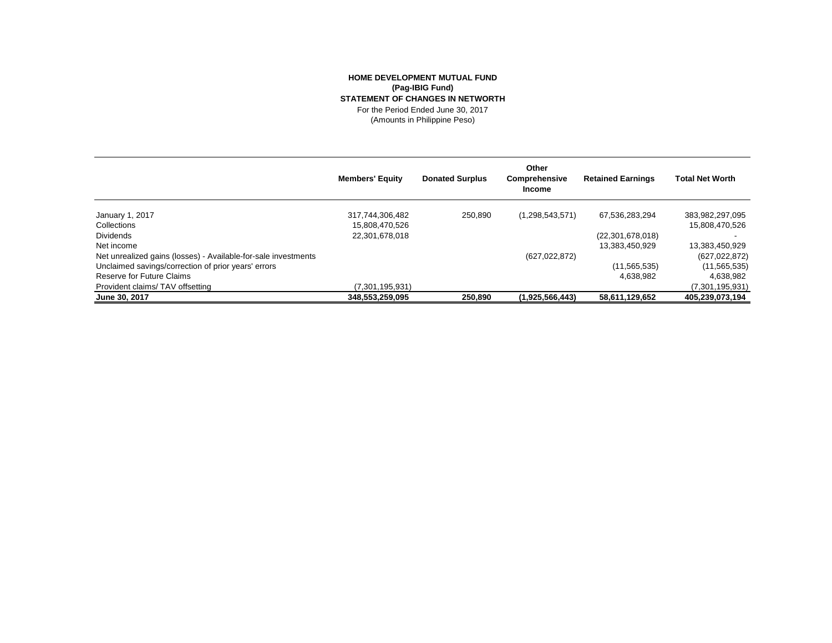## **HOME DEVELOPMENT MUTUAL FUND (Pag-IBIG Fund) STATEMENT OF CHANGES IN NETWORTH** For the Period Ended June 30, 2017

(Amounts in Philippine Peso)

|                                                                | <b>Members' Equity</b> | <b>Donated Surplus</b> | Other<br>Comprehensive<br><b>Income</b> | <b>Retained Earnings</b> | <b>Total Net Worth</b> |
|----------------------------------------------------------------|------------------------|------------------------|-----------------------------------------|--------------------------|------------------------|
| January 1, 2017                                                | 317,744,306,482        | 250.890                | (1,298,543,571)                         | 67,536,283,294           | 383,982,297,095        |
| Collections                                                    | 15,808,470,526         |                        |                                         |                          | 15,808,470,526         |
| <b>Dividends</b>                                               | 22,301,678,018         |                        |                                         | (22, 301, 678, 018)      |                        |
| Net income                                                     |                        |                        |                                         | 13,383,450,929           | 13,383,450,929         |
| Net unrealized gains (losses) - Available-for-sale investments |                        |                        | (627, 022, 872)                         |                          | (627, 022, 872)        |
| Unclaimed savings/correction of prior years' errors            |                        |                        |                                         | (11, 565, 535)           | (11, 565, 535)         |
| Reserve for Future Claims                                      |                        |                        |                                         | 4.638.982                | 4,638,982              |
| Provident claims/TAV offsetting                                | (7,301,195,931)        |                        |                                         |                          | (7,301,195,931)        |
| June 30, 2017                                                  | 348,553,259,095        | 250,890                | (1,925,566,443)                         | 58,611,129,652           | 405,239,073,194        |